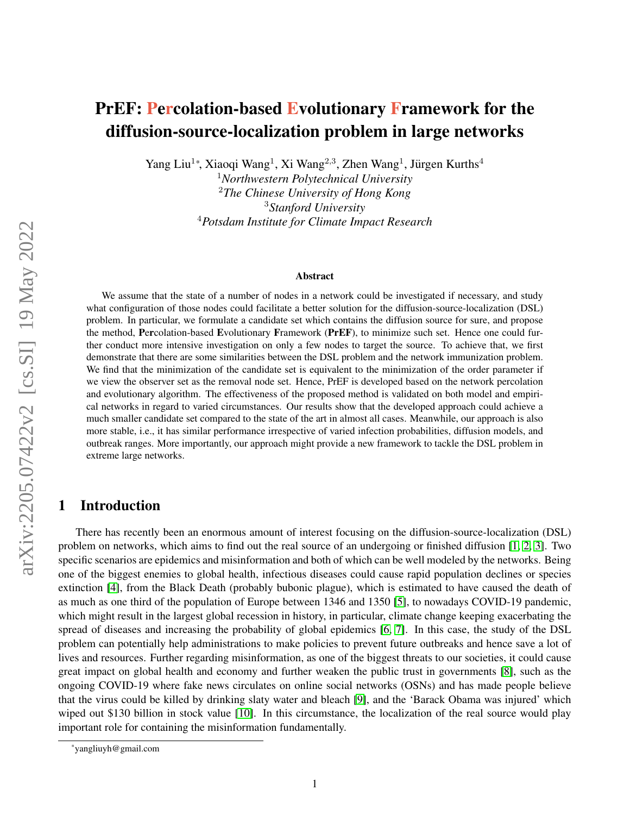# PrEF: Percolation-based Evolutionary Framework for the diffusion-source-localization problem in large networks

Yang Liu<sup>1</sup>\*, Xiaoqi Wang<sup>1</sup>, Xi Wang<sup>2,3</sup>, Zhen Wang<sup>1</sup>, Jürgen Kurths<sup>4</sup>

*Northwestern Polytechnical University The Chinese University of Hong Kong Stanford University Potsdam Institute for Climate Impact Research*

#### Abstract

We assume that the state of a number of nodes in a network could be investigated if necessary, and study what configuration of those nodes could facilitate a better solution for the diffusion-source-localization (DSL) problem. In particular, we formulate a candidate set which contains the diffusion source for sure, and propose the method, Percolation-based Evolutionary Framework (PrEF), to minimize such set. Hence one could further conduct more intensive investigation on only a few nodes to target the source. To achieve that, we first demonstrate that there are some similarities between the DSL problem and the network immunization problem. We find that the minimization of the candidate set is equivalent to the minimization of the order parameter if we view the observer set as the removal node set. Hence, PrEF is developed based on the network percolation and evolutionary algorithm. The effectiveness of the proposed method is validated on both model and empirical networks in regard to varied circumstances. Our results show that the developed approach could achieve a much smaller candidate set compared to the state of the art in almost all cases. Meanwhile, our approach is also more stable, i.e., it has similar performance irrespective of varied infection probabilities, diffusion models, and outbreak ranges. More importantly, our approach might provide a new framework to tackle the DSL problem in extreme large networks.

# 1 Introduction

There has recently been an enormous amount of interest focusing on the diffusion-source-localization (DSL) problem on networks, which aims to find out the real source of an undergoing or finished diffusion [\[1,](#page-10-0) [2,](#page-10-1) [3\]](#page-10-2). Two specific scenarios are epidemics and misinformation and both of which can be well modeled by the networks. Being one of the biggest enemies to global health, infectious diseases could cause rapid population declines or species extinction [\[4\]](#page-10-3), from the Black Death (probably bubonic plague), which is estimated to have caused the death of as much as one third of the population of Europe between 1346 and 1350 [\[5\]](#page-10-4), to nowadays COVID-19 pandemic, which might result in the largest global recession in history, in particular, climate change keeping exacerbating the spread of diseases and increasing the probability of global epidemics [\[6,](#page-10-5) [7\]](#page-10-6). In this case, the study of the DSL problem can potentially help administrations to make policies to prevent future outbreaks and hence save a lot of lives and resources. Further regarding misinformation, as one of the biggest threats to our societies, it could cause great impact on global health and economy and further weaken the public trust in governments [\[8\]](#page-10-7), such as the ongoing COVID-19 where fake news circulates on online social networks (OSNs) and has made people believe that the virus could be killed by drinking slaty water and bleach [\[9\]](#page-10-8), and the 'Barack Obama was injured' which wiped out \$130 billion in stock value [\[10\]](#page-10-9). In this circumstance, the localization of the real source would play important role for containing the misinformation fundamentally.

<sup>\*</sup>yangliuyh@gmail.com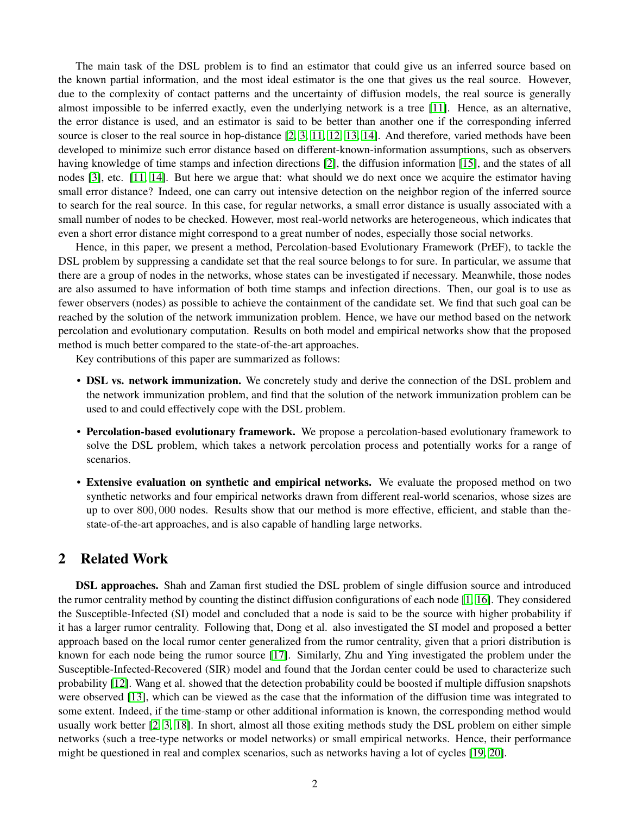The main task of the DSL problem is to find an estimator that could give us an inferred source based on the known partial information, and the most ideal estimator is the one that gives us the real source. However, due to the complexity of contact patterns and the uncertainty of diffusion models, the real source is generally almost impossible to be inferred exactly, even the underlying network is a tree [\[11\]](#page-11-0). Hence, as an alternative, the error distance is used, and an estimator is said to be better than another one if the corresponding inferred source is closer to the real source in hop-distance [\[2,](#page-10-1) [3,](#page-10-2) [11,](#page-11-0) [12,](#page-11-1) [13,](#page-11-2) [14\]](#page-11-3). And therefore, varied methods have been developed to minimize such error distance based on different-known-information assumptions, such as observers having knowledge of time stamps and infection directions [\[2\]](#page-10-1), the diffusion information [\[15\]](#page-11-4), and the states of all nodes [\[3\]](#page-10-2), etc. [\[11,](#page-11-0) [14\]](#page-11-3). But here we argue that: what should we do next once we acquire the estimator having small error distance? Indeed, one can carry out intensive detection on the neighbor region of the inferred source to search for the real source. In this case, for regular networks, a small error distance is usually associated with a small number of nodes to be checked. However, most real-world networks are heterogeneous, which indicates that even a short error distance might correspond to a great number of nodes, especially those social networks.

Hence, in this paper, we present a method, Percolation-based Evolutionary Framework (PrEF), to tackle the DSL problem by suppressing a candidate set that the real source belongs to for sure. In particular, we assume that there are a group of nodes in the networks, whose states can be investigated if necessary. Meanwhile, those nodes are also assumed to have information of both time stamps and infection directions. Then, our goal is to use as fewer observers (nodes) as possible to achieve the containment of the candidate set. We find that such goal can be reached by the solution of the network immunization problem. Hence, we have our method based on the network percolation and evolutionary computation. Results on both model and empirical networks show that the proposed method is much better compared to the state-of-the-art approaches.

Key contributions of this paper are summarized as follows:

- DSL vs. network immunization. We concretely study and derive the connection of the DSL problem and the network immunization problem, and find that the solution of the network immunization problem can be used to and could effectively cope with the DSL problem.
- Percolation-based evolutionary framework. We propose a percolation-based evolutionary framework to solve the DSL problem, which takes a network percolation process and potentially works for a range of scenarios.
- Extensive evaluation on synthetic and empirical networks. We evaluate the proposed method on two synthetic networks and four empirical networks drawn from different real-world scenarios, whose sizes are up to over 800, 000 nodes. Results show that our method is more effective, efficient, and stable than thestate-of-the-art approaches, and is also capable of handling large networks.

## 2 Related Work

DSL approaches. Shah and Zaman first studied the DSL problem of single diffusion source and introduced the rumor centrality method by counting the distinct diffusion configurations of each node [\[1,](#page-10-0) [16\]](#page-11-5). They considered the Susceptible-Infected (SI) model and concluded that a node is said to be the source with higher probability if it has a larger rumor centrality. Following that, Dong et al. also investigated the SI model and proposed a better approach based on the local rumor center generalized from the rumor centrality, given that a priori distribution is known for each node being the rumor source [\[17\]](#page-11-6). Similarly, Zhu and Ying investigated the problem under the Susceptible-Infected-Recovered (SIR) model and found that the Jordan center could be used to characterize such probability [\[12\]](#page-11-1). Wang et al. showed that the detection probability could be boosted if multiple diffusion snapshots were observed [\[13\]](#page-11-2), which can be viewed as the case that the information of the diffusion time was integrated to some extent. Indeed, if the time-stamp or other additional information is known, the corresponding method would usually work better [\[2,](#page-10-1) [3,](#page-10-2) [18\]](#page-11-7). In short, almost all those exiting methods study the DSL problem on either simple networks (such a tree-type networks or model networks) or small empirical networks. Hence, their performance might be questioned in real and complex scenarios, such as networks having a lot of cycles [\[19,](#page-11-8) [20\]](#page-11-9).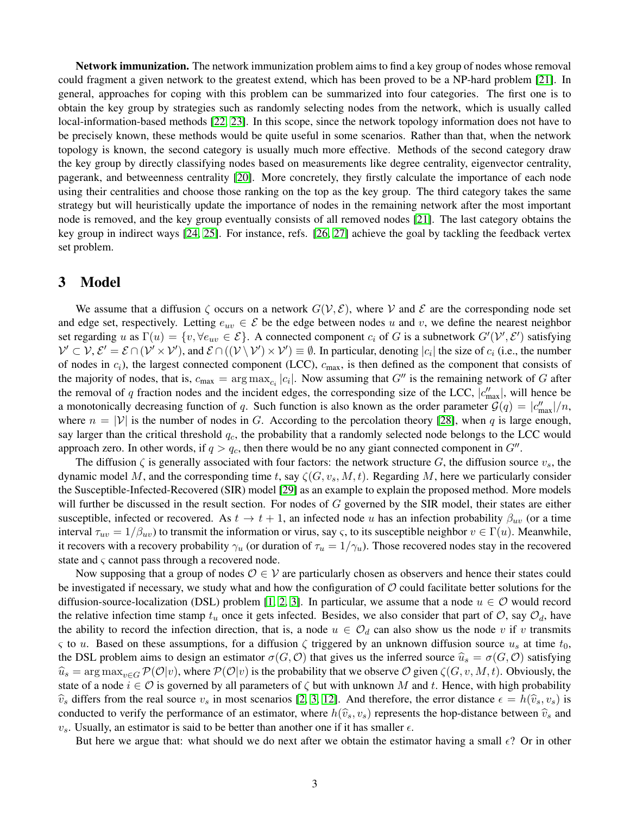Network immunization. The network immunization problem aims to find a key group of nodes whose removal could fragment a given network to the greatest extend, which has been proved to be a NP-hard problem [\[21\]](#page-11-10). In general, approaches for coping with this problem can be summarized into four categories. The first one is to obtain the key group by strategies such as randomly selecting nodes from the network, which is usually called local-information-based methods [\[22,](#page-11-11) [23\]](#page-11-12). In this scope, since the network topology information does not have to be precisely known, these methods would be quite useful in some scenarios. Rather than that, when the network topology is known, the second category is usually much more effective. Methods of the second category draw the key group by directly classifying nodes based on measurements like degree centrality, eigenvector centrality, pagerank, and betweenness centrality [\[20\]](#page-11-9). More concretely, they firstly calculate the importance of each node using their centralities and choose those ranking on the top as the key group. The third category takes the same strategy but will heuristically update the importance of nodes in the remaining network after the most important node is removed, and the key group eventually consists of all removed nodes [\[21\]](#page-11-10). The last category obtains the key group in indirect ways [\[24,](#page-11-13) [25\]](#page-11-14). For instance, refs. [\[26,](#page-11-15) [27\]](#page-11-16) achieve the goal by tackling the feedback vertex set problem.

### 3 Model

We assume that a diffusion  $\zeta$  occurs on a network  $G(\mathcal{V}, \mathcal{E})$ , where V and E are the corresponding node set and edge set, respectively. Letting  $e_{uv} \in \mathcal{E}$  be the edge between nodes u and v, we define the nearest neighbor set regarding u as  $\Gamma(u) = \{v, \forall e_{uv} \in \mathcal{E}\}\$ . A connected component  $c_i$  of G is a subnetwork  $G'(\mathcal{V}', \mathcal{E}')$  satisfying  $V' \subset V$ ,  $\mathcal{E}' = \mathcal{E} \cap (\mathcal{V}' \times \mathcal{V}')$ , and  $\mathcal{E} \cap ((\mathcal{V} \setminus \mathcal{V}') \times \mathcal{V}') \equiv \emptyset$ . In particular, denoting  $|c_i|$  the size of  $c_i$  (i.e., the number of nodes in  $c_i$ ), the largest connected component (LCC),  $c_{\text{max}}$ , is then defined as the component that consists of the majority of nodes, that is,  $c_{\text{max}} = \arg \max_{c_i} |c_i|$ . Now assuming that  $G''$  is the remaining network of G after the removal of q fraction nodes and the incident edges, the corresponding size of the LCC,  $|c''_{\text{max}}|$ , will hence be a monotonically decreasing function of q. Such function is also known as the order parameter  $\mathcal{G}(q) = |c''_{\text{max}}|/n$ , where  $n = |V|$  is the number of nodes in G. According to the percolation theory [\[28\]](#page-11-17), when q is large enough, say larger than the critical threshold  $q_c$ , the probability that a randomly selected node belongs to the LCC would approach zero. In other words, if  $q > q_c$ , then there would be no any giant connected component in  $G''$ .

The diffusion  $\zeta$  is generally associated with four factors: the network structure G, the diffusion source  $v_s$ , the dynamic model M, and the corresponding time t, say  $\zeta(G, v_s, M, t)$ . Regarding M, here we particularly consider the Susceptible-Infected-Recovered (SIR) model [\[29\]](#page-11-18) as an example to explain the proposed method. More models will further be discussed in the result section. For nodes of  $G$  governed by the SIR model, their states are either susceptible, infected or recovered. As  $t \to t + 1$ , an infected node u has an infection probability  $\beta_{uv}$  (or a time interval  $\tau_{uv} = 1/\beta_{uv}$ ) to transmit the information or virus, say  $\varsigma$ , to its susceptible neighbor  $v \in \Gamma(u)$ . Meanwhile, it recovers with a recovery probability  $\gamma_u$  (or duration of  $\tau_u = 1/\gamma_u$ ). Those recovered nodes stay in the recovered state and ς cannot pass through a recovered node.

Now supposing that a group of nodes  $\mathcal{O} \in \mathcal{V}$  are particularly chosen as observers and hence their states could be investigated if necessary, we study what and how the configuration of  $\mathcal O$  could facilitate better solutions for the diffusion-source-localization (DSL) problem [\[1,](#page-10-0) [2,](#page-10-1) [3\]](#page-10-2). In particular, we assume that a node  $u \in \mathcal{O}$  would record the relative infection time stamp  $t_u$  once it gets infected. Besides, we also consider that part of  $\mathcal{O}$ , say  $\mathcal{O}_d$ , have the ability to record the infection direction, that is, a node  $u \in \mathcal{O}_d$  can also show us the node v if v transmits ς to u. Based on these assumptions, for a diffusion  $\zeta$  triggered by an unknown diffusion source  $u_s$  at time  $t_0$ , the DSL problem aims to design an estimator  $\sigma(G, \mathcal{O})$  that gives us the inferred source  $\hat{u}_s = \sigma(G, \mathcal{O})$  satisfying  $\widehat{u}_s = \arg \max_{v \in G} \mathcal{P}(\mathcal{O}|v)$ , where  $\mathcal{P}(\mathcal{O}|v)$  is the probability that we observe  $\mathcal{O}$  given  $\zeta(G, v, M, t)$ . Obviously, the state of a node  $i \in \mathcal{O}$  is governed by all parameters of  $\zeta$  but with unknown M and t. Hence, with high probability  $\hat{v}_s$  differs from the real source  $v_s$  in most scenarios [\[2,](#page-10-1) [3,](#page-10-2) [12\]](#page-11-1). And therefore, the error distance  $\epsilon = h(\hat{v}_s, v_s)$  is conducted to verify the performance of an estimator, where  $h(\hat{v}_s, v_s)$  represents the hop-distance between  $\hat{v}_s$  and  $v_s$ . Usually, an estimator is said to be better than another one if it has smaller  $\epsilon$ .

But here we argue that: what should we do next after we obtain the estimator having a small  $\epsilon$ ? Or in other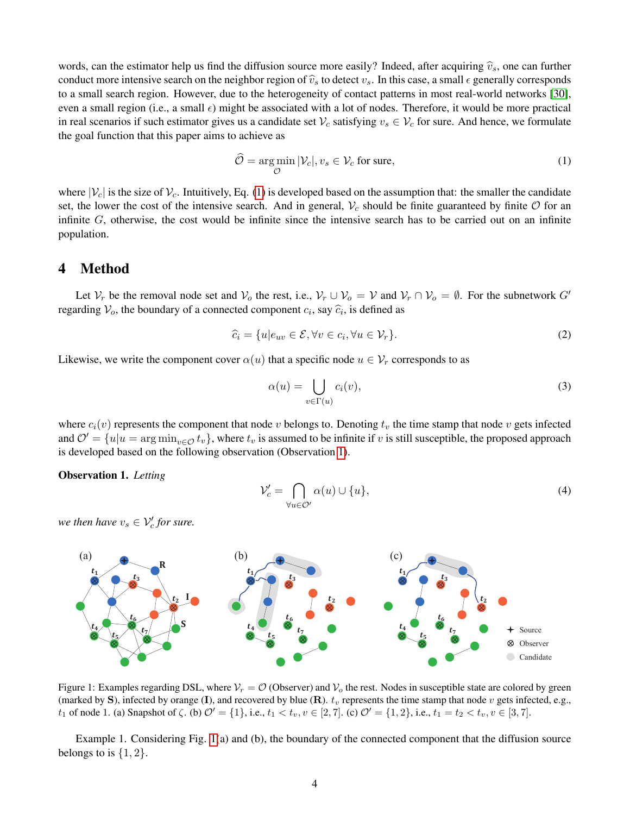words, can the estimator help us find the diffusion source more easily? Indeed, after acquiring  $\hat{v}_s$ , one can further conduct more intensive search on the neighbor region of  $\hat{v}_s$  to detect  $v_s$ . In this case, a small  $\epsilon$  generally corresponds to a small search region. However, due to the heterogeneity of contact patterns in most real-world networks [\[30\]](#page-12-0), even a small region (i.e., a small  $\epsilon$ ) might be associated with a lot of nodes. Therefore, it would be more practical in real scenarios if such estimator gives us a candidate set  $V_c$  satisfying  $v_s \in V_c$  for sure. And hence, we formulate the goal function that this paper aims to achieve as

<span id="page-3-0"></span>
$$
\widehat{\mathcal{O}} = \underset{\mathcal{O}}{\arg \min} |\mathcal{V}_c|, v_s \in \mathcal{V}_c \text{ for sure},\tag{1}
$$

where  $|\mathcal{V}_c|$  is the size of  $\mathcal{V}_c$ . Intuitively, Eq. [\(1\)](#page-3-0) is developed based on the assumption that: the smaller the candidate set, the lower the cost of the intensive search. And in general,  $V_c$  should be finite guaranteed by finite  $\mathcal O$  for an infinite G, otherwise, the cost would be infinite since the intensive search has to be carried out on an infinite population.

#### 4 Method

Let  $V_r$  be the removal node set and  $V_o$  the rest, i.e.,  $V_r \cup V_o = V$  and  $V_r \cap V_o = \emptyset$ . For the subnetwork G' regarding  $V_o$ , the boundary of a connected component  $c_i$ , say  $\widehat{c}_i$ , is defined as

$$
\widehat{c}_i = \{u | e_{uv} \in \mathcal{E}, \forall v \in c_i, \forall u \in \mathcal{V}_r\}.
$$
\n<sup>(2)</sup>

Likewise, we write the component cover  $\alpha(u)$  that a specific node  $u \in V_r$  corresponds to as

$$
\alpha(u) = \bigcup_{v \in \Gamma(u)} c_i(v),\tag{3}
$$

where  $c_i(v)$  represents the component that node v belongs to. Denoting  $t_v$  the time stamp that node v gets infected and  $\mathcal{O}' = \{u|u = \arg\min_{v \in \mathcal{O}} t_v\}$ , where  $t_v$  is assumed to be infinite if v is still susceptible, the proposed approach is developed based on the following observation (Observation [1\)](#page-3-1).

<span id="page-3-1"></span>Observation 1. *Letting*

<span id="page-3-3"></span>
$$
\mathcal{V}'_c = \bigcap_{\forall u \in \mathcal{O}'} \alpha(u) \cup \{u\},\tag{4}
$$

*we then have*  $v_s \in V_c'$  *for sure.* 

<span id="page-3-2"></span>

Figure 1: Examples regarding DSL, where  $V_r = \mathcal{O}$  (Observer) and  $V_o$  the rest. Nodes in susceptible state are colored by green (marked by S), infected by orange (I), and recovered by blue  $(R)$ .  $t_v$  represents the time stamp that node v gets infected, e.g., t<sub>1</sub> of node 1. (a) Snapshot of  $\zeta$ . (b)  $\mathcal{O}' = \{1\}$ , i.e.,  $t_1 < t_v, v \in [2, 7]$ . (c)  $\mathcal{O}' = \{1, 2\}$ , i.e.,  $t_1 = t_2 < t_v, v \in [3, 7]$ .

Example 1. Considering Fig. [1\(](#page-3-2)a) and (b), the boundary of the connected component that the diffusion source belongs to is  $\{1, 2\}$ .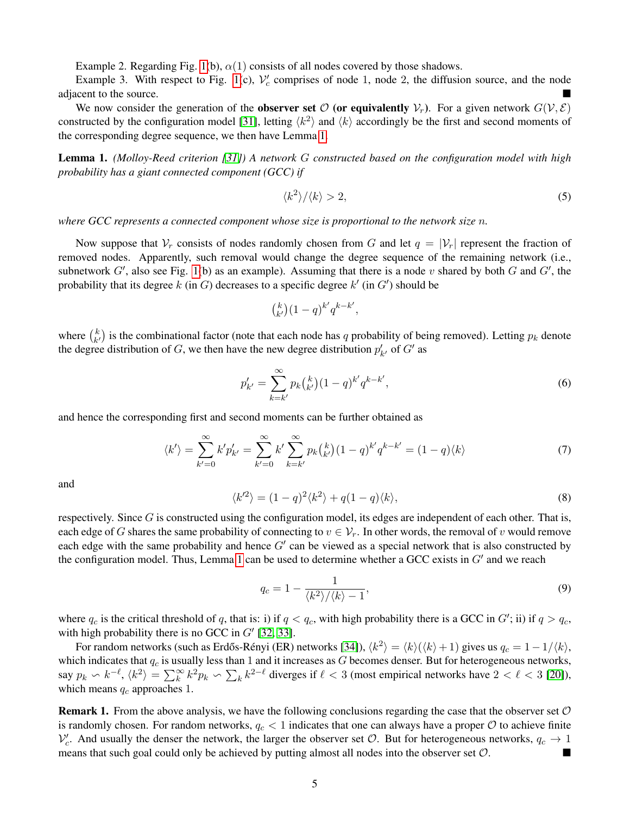Example 2. Regarding Fig. [1\(](#page-3-2)b),  $\alpha(1)$  consists of all nodes covered by those shadows.

Example 3. With respect to Fig. [1\(](#page-3-2)c),  $V_c$  comprises of node 1, node 2, the diffusion source, and the node adjacent to the source.

We now consider the generation of the **observer set**  $\mathcal{O}$  (or equivalently  $V_r$ ). For a given network  $G(V, \mathcal{E})$ constructed by the configuration model [\[31\]](#page-12-1), letting  $\langle k^2 \rangle$  and  $\langle k \rangle$  accordingly be the first and second moments of the corresponding degree sequence, we then have Lemma [1.](#page-4-0)

<span id="page-4-0"></span>Lemma 1. *(Molloy-Reed criterion [\[31\]](#page-12-1)) A network* G *constructed based on the configuration model with high probability has a giant connected component (GCC) if*

$$
\langle k^2 \rangle / \langle k \rangle > 2,\tag{5}
$$

*where GCC represents a connected component whose size is proportional to the network size* n*.*

Now suppose that  $V_r$  consists of nodes randomly chosen from G and let  $q = |V_r|$  represent the fraction of removed nodes. Apparently, such removal would change the degree sequence of the remaining network (i.e., subnetwork  $G'$ , also see Fig. [1\(](#page-3-2)b) as an example). Assuming that there is a node v shared by both  $G$  and  $G'$ , the probability that its degree k (in G) decreases to a specific degree  $k'$  (in  $G'$ ) should be

$$
\binom{k}{k'} (1-q)^{k'} q^{k-k'},
$$

where  $\binom{k}{k'}$  $k \choose k'$  is the combinational factor (note that each node has q probability of being removed). Letting  $p_k$  denote the degree distribution of G, we then have the new degree distribution  $p'_{k'}$  of G' as

$$
p'_{k'} = \sum_{k=k'}^{\infty} p_k {k \choose k'} (1-q)^{k'} q^{k-k'},
$$
\n(6)

and hence the corresponding first and second moments can be further obtained as

$$
\langle k' \rangle = \sum_{k'=0}^{\infty} k' p'_{k'} = \sum_{k'=0}^{\infty} k' \sum_{k=k'}^{\infty} p_k {k \choose k'} (1-q)^{k'} q^{k-k'} = (1-q) \langle k \rangle
$$
 (7)

and

$$
\langle k^{\prime 2} \rangle = (1 - q)^2 \langle k^2 \rangle + q(1 - q) \langle k \rangle, \tag{8}
$$

respectively. Since  $G$  is constructed using the configuration model, its edges are independent of each other. That is, each edge of G shares the same probability of connecting to  $v \in \mathcal{V}_r$ . In other words, the removal of v would remove each edge with the same probability and hence  $G'$  can be viewed as a special network that is also constructed by the configuration model. Thus, Lemma [1](#page-4-0) can be used to determine whether a GCC exists in  $G'$  and we reach

$$
q_c = 1 - \frac{1}{\langle k^2 \rangle / \langle k \rangle - 1},\tag{9}
$$

where  $q_c$  is the critical threshold of q, that is: i) if  $q < q_c$ , with high probability there is a GCC in  $G'$ ; ii) if  $q > q_c$ , with high probability there is no GCC in  $G'$  [\[32,](#page-12-2) [33\]](#page-12-3).

For random networks (such as Erdős-Rényi (ER) networks [\[34\]](#page-12-4)),  $\langle k^2 \rangle = \langle k \rangle (\langle k \rangle + 1)$  gives us  $q_c = 1 - 1/\langle k \rangle$ , which indicates that  $q_c$  is usually less than 1 and it increases as  $G$  becomes denser. But for heterogeneous networks, say  $p_k \backsim k^{-\ell}$ ,  $\langle k^2 \rangle = \sum_k^{\infty} k^2 p_k \backsim \sum_k k^{2-\ell}$  diverges if  $\ell < 3$  (most empirical networks have  $2 < \ell < 3$  [\[20\]](#page-11-9)), which means  $q_c$  approaches 1.

**Remark 1.** From the above analysis, we have the following conclusions regarding the case that the observer set  $\mathcal{O}$ is randomly chosen. For random networks,  $q_c < 1$  indicates that one can always have a proper  $O$  to achieve finite  $\mathcal{V}'_c$ . And usually the denser the network, the larger the observer set  $\mathcal{O}$ . But for heterogeneous networks,  $q_c \to 1$ means that such goal could only be achieved by putting almost all nodes into the observer set O.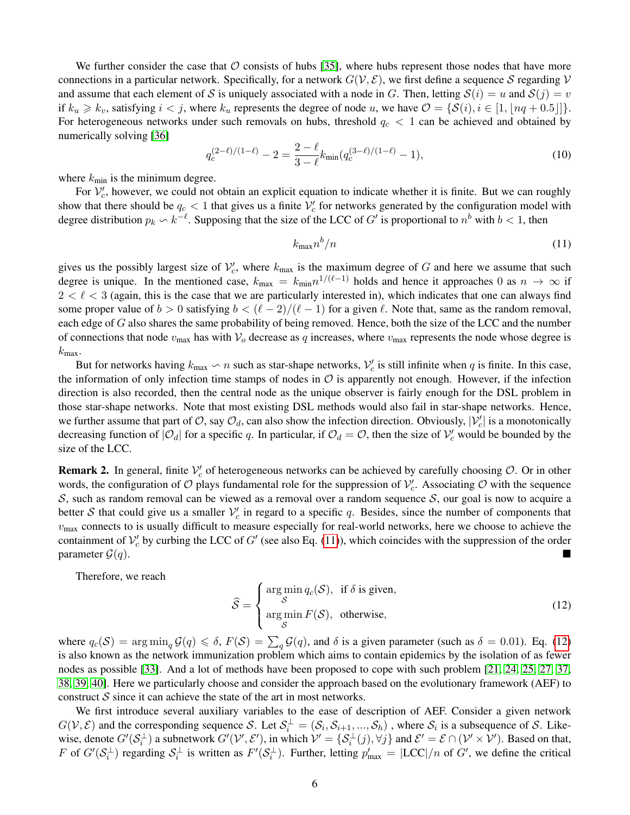We further consider the case that  $\mathcal O$  consists of hubs [\[35\]](#page-12-5), where hubs represent those nodes that have more connections in a particular network. Specifically, for a network  $G(V, \mathcal{E})$ , we first define a sequence S regarding V and assume that each element of S is uniquely associated with a node in G. Then, letting  $S(i) = u$  and  $S(j) = v$ if  $k_u \geq k_v$ , satisfying  $i < j$ , where  $k_u$  represents the degree of node u, we have  $\mathcal{O} = \{ \mathcal{S}(i), i \in [1, \lfloor nq + 0.5 \rfloor] \}.$ For heterogeneous networks under such removals on hubs, threshold  $q_c < 1$  can be achieved and obtained by numerically solving [\[36\]](#page-12-6)

$$
q_c^{(2-\ell)/(1-\ell)} - 2 = \frac{2-\ell}{3-\ell} k_{\min}(q_c^{(3-\ell)/(1-\ell)} - 1),\tag{10}
$$

where  $k_{\text{min}}$  is the minimum degree.

For  $\mathcal{V}'_c$ , however, we could not obtain an explicit equation to indicate whether it is finite. But we can roughly show that there should be  $q_c < 1$  that gives us a finite  $\mathcal{V}'_c$  for networks generated by the configuration model with degree distribution  $p_k \backsim k^{-\ell}$ . Supposing that the size of the LCC of G' is proportional to  $n^b$  with  $b < 1$ , then

<span id="page-5-0"></span>
$$
k_{\max}n^b/n\tag{11}
$$

gives us the possibly largest size of  $\mathcal{V}'_c$ , where  $k_{\text{max}}$  is the maximum degree of G and here we assume that such degree is unique. In the mentioned case,  $k_{\text{max}} = k_{\text{min}} n^{1/(\ell-1)}$  holds and hence it approaches 0 as  $n \to \infty$  if  $2 < \ell < 3$  (again, this is the case that we are particularly interested in), which indicates that one can always find some proper value of  $b > 0$  satisfying  $b < (\ell - 2)/(\ell - 1)$  for a given  $\ell$ . Note that, same as the random removal, each edge of G also shares the same probability of being removed. Hence, both the size of the LCC and the number of connections that node  $v_{\text{max}}$  has with  $V_o$  decrease as q increases, where  $v_{\text{max}}$  represents the node whose degree is  $k_{\text{max}}$ .

But for networks having  $k_{\max} \setminus n$  such as star-shape networks,  $\mathcal{V}'_c$  is still infinite when q is finite. In this case, the information of only infection time stamps of nodes in  $\mathcal O$  is apparently not enough. However, if the infection direction is also recorded, then the central node as the unique observer is fairly enough for the DSL problem in those star-shape networks. Note that most existing DSL methods would also fail in star-shape networks. Hence, we further assume that part of O, say  $\mathcal{O}_d$ , can also show the infection direction. Obviously,  $|\mathcal{V}'_c|$  is a monotonically decreasing function of  $|O_d|$  for a specific q. In particular, if  $O_d = O$ , then the size of  $V'_c$  would be bounded by the size of the LCC.

**Remark 2.** In general, finite  $V_c'$  of heterogeneous networks can be achieved by carefully choosing  $O$ . Or in other words, the configuration of  $O$  plays fundamental role for the suppression of  $V_c'$ . Associating  $O$  with the sequence S, such as random removal can be viewed as a removal over a random sequence S, our goal is now to acquire a better S that could give us a smaller  $V_c'$  in regard to a specific q. Besides, since the number of components that  $v_{\text{max}}$  connects to is usually difficult to measure especially for real-world networks, here we choose to achieve the containment of  $V_c'$  by curbing the LCC of G' (see also Eq. [\(11\)](#page-5-0)), which coincides with the suppression of the order parameter  $\mathcal{G}(q)$ .

Therefore, we reach

<span id="page-5-1"></span>
$$
\widehat{S} = \begin{cases}\n\arg\min_{S} q_c(S), & \text{if } \delta \text{ is given,} \\
\text{arg}\min_{S} F(S), & \text{otherwise,} \n\end{cases}
$$
\n(12)

where  $q_c(\mathcal{S}) = \arg \min_q \mathcal{G}(q) \leq \delta$ ,  $F(\mathcal{S}) = \sum_q \mathcal{G}(q)$ , and  $\delta$  is a given parameter (such as  $\delta = 0.01$ ). Eq. [\(12\)](#page-5-1) is also known as the network immunization problem which aims to contain epidemics by the isolation of as fewer nodes as possible [\[33\]](#page-12-3). And a lot of methods have been proposed to cope with such problem [\[21,](#page-11-10) [24,](#page-11-13) [25,](#page-11-14) [27,](#page-11-16) [37,](#page-12-7) [38,](#page-12-8) [39,](#page-12-9) [40\]](#page-12-10). Here we particularly choose and consider the approach based on the evolutionary framework (AEF) to construct  $S$  since it can achieve the state of the art in most networks.

We first introduce several auxiliary variables to the ease of description of AEF. Consider a given network  $G(\mathcal{V}, \mathcal{E})$  and the corresponding sequence S. Let  $\mathcal{S}_i^{\perp} = (\mathcal{S}_i, \mathcal{S}_{i+1}, ..., \mathcal{S}_h)$  , where  $\mathcal{S}_i$  is a subsequence of S. Likewise, denote  $G'(\mathcal{S}_i^{\perp})$  a subnetwork  $G'(\mathcal{V}', \mathcal{E}')$ , in which  $\mathcal{V}' = \{\mathcal{S}_i^{\perp}(j), \forall j\}$  and  $\mathcal{E}' = \mathcal{E} \cap (\mathcal{V}' \times \mathcal{V}')$ . Based on that, F of  $G'(\mathcal{S}_i^{\perp})$  regarding  $\mathcal{S}_i^{\perp}$  is written as  $F'(\mathcal{S}_i^{\perp})$ . Further, letting  $p'_{\text{max}} = |\text{LCC}|/n$  of  $G'$ , we define the critical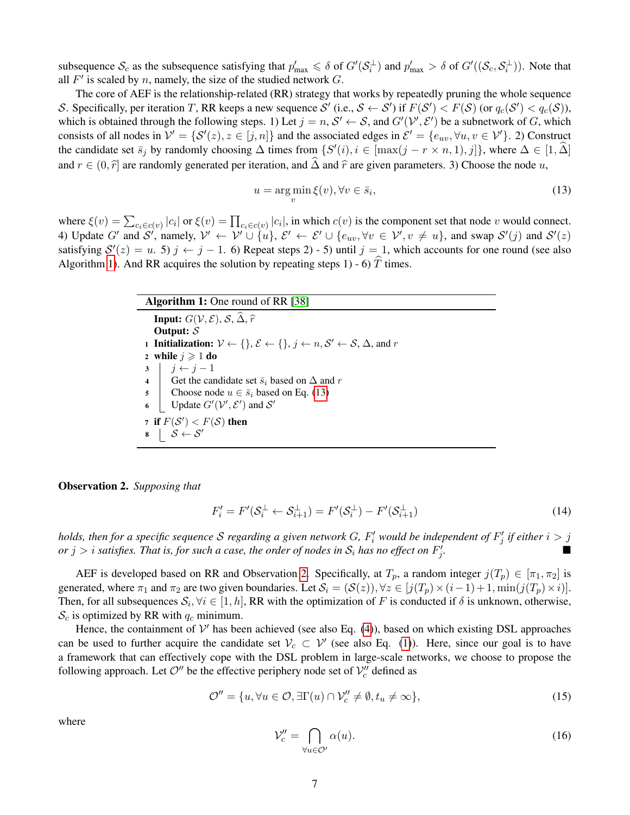subsequence  $S_c$  as the subsequence satisfying that  $p'_{\text{max}} \le \delta$  of  $G'(S_i^{\perp})$  and  $p'_{\text{max}} > \delta$  of  $G'((S_c, S_i^{\perp}))$ . Note that all  $F'$  is scaled by n, namely, the size of the studied network  $G$ .

The core of AEF is the relationship-related (RR) strategy that works by repeatedly pruning the whole sequence S. Specifically, per iteration T, RR keeps a new sequence S' (i.e.,  $S \leftarrow S'$ ) if  $F(S') < F(S)$  (or  $q_c(S') < q_c(S)$ ), which is obtained through the following steps. 1) Let  $j = n$ ,  $S' \leftarrow S$ , and  $G'(\mathcal{V}', \mathcal{E}')$  be a subnetwork of G, which consists of all nodes in  $\mathcal{V}' = \{ \mathcal{S}'(z), z \in [j,n] \}$  and the associated edges in  $\mathcal{E}' = \{ e_{uv}, \forall u, v \in \mathcal{V}' \}$ . 2) Construct the candidate set  $\bar{s}_j$  by randomly choosing  $\Delta$  times from  $\{S'(i), i \in [\max(j - r \times n, 1), j]\}$ , where  $\Delta \in [1, \hat{\Delta}]$ and  $r \in (0, \hat{r})$  are randomly generated per iteration, and  $\hat{\Delta}$  and  $\hat{r}$  are given parameters. 3) Choose the node u,

<span id="page-6-1"></span>
$$
u = \underset{v}{\arg\min} \xi(v), \forall v \in \bar{s}_i,\tag{13}
$$

where  $\xi(v) = \sum_{c_i \in c(v)} |c_i|$  or  $\xi(v) = \prod_{c_i \in c(v)} |c_i|$ , in which  $c(v)$  is the component set that node v would connect. 4) Update G' and S', namely,  $\mathcal{V}' \leftarrow \mathcal{V}' \cup \{u\}, \mathcal{E}' \leftarrow \mathcal{E}' \cup \{e_{uv}, \forall v \in \mathcal{V}', v \neq u\}$ , and swap  $\mathcal{S}'(j)$  and  $\mathcal{S}'(z)$ satisfying  $S'(z) = u$ . 5)  $j \leftarrow j - 1$ . 6) Repeat steps 2) - 5) until  $j = 1$ , which accounts for one round (see also Algorithm [1\)](#page-6-0). And RR acquires the solution by repeating steps 1) - 6)  $\hat{T}$  times.

<span id="page-6-0"></span>

| <b>Algorithm 1:</b> One round of RR [38]                                                                                           |  |  |
|------------------------------------------------------------------------------------------------------------------------------------|--|--|
| <b>Input:</b> $G(V, \mathcal{E}), S, \widehat{\Delta}, \widehat{r}$                                                                |  |  |
| Output: $S$                                                                                                                        |  |  |
| <b>1</b> Initialization: $V \leftarrow \{\}, \mathcal{E} \leftarrow \{\}, j \leftarrow n, S' \leftarrow S, \Delta, \text{ and } r$ |  |  |
| 2 while $j \geqslant 1$ do                                                                                                         |  |  |
| $j \leftarrow j-1$<br>$\overline{\mathbf{3}}$                                                                                      |  |  |
| $\overline{\mathbf{4}}$<br>Get the candidate set $\bar{s}_i$ based on $\Delta$ and r                                               |  |  |
| Choose node $u \in \overline{s}_i$ based on Eq. (13)<br>5                                                                          |  |  |
| Update $G'(\mathcal{V}', \mathcal{E}')$ and $\mathcal{S}'$<br>6                                                                    |  |  |
| 7 if $F(S') < F(S)$ then                                                                                                           |  |  |
| $\beta \leftarrow \mathcal{S}'$<br>8                                                                                               |  |  |
|                                                                                                                                    |  |  |

<span id="page-6-2"></span>Observation 2. *Supposing that*

$$
F_i' = F'(\mathcal{S}_i^{\perp} \leftarrow \mathcal{S}_{i+1}^{\perp}) = F'(\mathcal{S}_i^{\perp}) - F'(\mathcal{S}_{i+1}^{\perp})
$$
\n(14)

holds, then for a specific sequence S regarding a given network G,  $F'_i$  would be independent of  $F'_j$  if either  $i > j$ or  $j > i$  satisfies. That is, for such a case, the order of nodes in  $\mathcal{S}_i$  has no effect on  $F'_j$ *.*

AEF is developed based on RR and Observation [2.](#page-6-2) Specifically, at  $T_p$ , a random integer  $j(T_p) \in [\pi_1, \pi_2]$  is generated, where  $\pi_1$  and  $\pi_2$  are two given boundaries. Let  $\mathcal{S}_i = (\mathcal{S}(z))$ ,  $\forall z \in [j(T_p) \times (i-1)+1, \min(j(T_p) \times i)]$ . Then, for all subsequences  $S_i, \forall i \in [1, h]$ , RR with the optimization of F is conducted if  $\delta$  is unknown, otherwise,  $S_c$  is optimized by RR with  $q_c$  minimum.

Hence, the containment of  $V'$  has been achieved (see also Eq. [\(4\)](#page-3-3)), based on which existing DSL approaches can be used to further acquire the candidate set  $V_c \subset V'$  (see also Eq. [\(1\)](#page-3-0)). Here, since our goal is to have a framework that can effectively cope with the DSL problem in large-scale networks, we choose to propose the following approach. Let  $\mathcal{O}''$  be the effective periphery node set of  $\mathcal{V}_c''$  defined as

$$
\mathcal{O}'' = \{u, \forall u \in \mathcal{O}, \exists \Gamma(u) \cap \mathcal{V}'_c \neq \emptyset, t_u \neq \infty\},\tag{15}
$$

where

$$
\mathcal{V}_c'' = \bigcap_{\forall u \in \mathcal{O}'} \alpha(u). \tag{16}
$$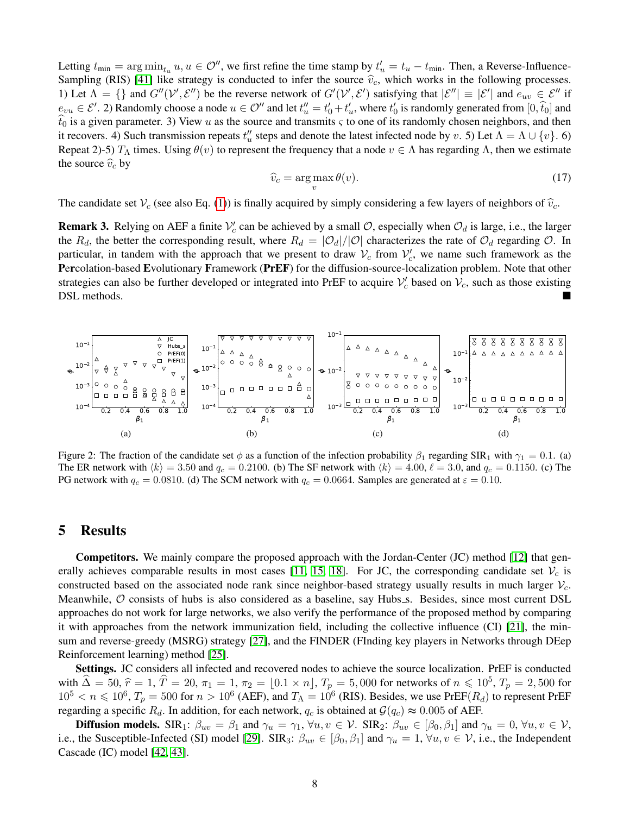Letting  $t_{\min} = \arg \min_{t_u} u, u \in \mathcal{O}^{\prime\prime}$ , we first refine the time stamp by  $t_u' = t_u - t_{\min}$ . Then, a Reverse-Influence-Sampling (RIS) [\[41\]](#page-12-11) like strategy is conducted to infer the source  $\hat{v}_c$ , which works in the following processes. 1) Let  $\Lambda = \{\}\$ and  $G''(\mathcal{V}', \mathcal{E}'')$  be the reverse network of  $G'(\mathcal{V}', \mathcal{E}')$  satisfying that  $|\mathcal{E}''| \equiv |\mathcal{E}'|$  and  $e_{uv} \in \mathcal{E}''$  if  $e_{vu} \in \mathcal{E}'$ . 2) Randomly choose a node  $u \in \mathcal{O}''$  and let  $t''_u = t'_0 + t'_u$ , where  $t'_0$  is randomly generated from  $[0, \hat{t}_0]$  and  $\hat{t}_0$  is a given parameter. 3) View u as the source and transmits  $\varsigma$  to one of its randomly chosen neighbors, and then it recovers. 4) Such transmission repeats  $t''_u$  steps and denote the latest infected node by v. 5) Let  $\Lambda = \Lambda \cup \{v\}$ . 6) Repeat 2)-5)  $T_A$  times. Using  $\theta(v)$  to represent the frequency that a node  $v \in \Lambda$  has regarding  $\Lambda$ , then we estimate the source  $\hat{v}_c$  by

$$
\widehat{v}_c = \arg\max_v \theta(v). \tag{17}
$$

The candidate set  $V_c$  (see also Eq. [\(1\)](#page-3-0)) is finally acquired by simply considering a few layers of neighbors of  $\hat{v}_c$ .

**Remark 3.** Relying on AEF a finite  $V_c'$  can be achieved by a small O, especially when  $O_d$  is large, i.e., the larger the  $R_d$ , the better the corresponding result, where  $R_d = |\mathcal{O}_d|/|\mathcal{O}|$  characterizes the rate of  $\mathcal{O}_d$  regarding  $\mathcal{O}$ . In particular, in tandem with the approach that we present to draw  $V_c$  from  $V_c'$ , we name such framework as the Percolation-based Evolutionary Framework (PrEF) for the diffusion-source-localization problem. Note that other strategies can also be further developed or integrated into PrEF to acquire  $V_c$  based on  $V_c$ , such as those existing DSL methods.

<span id="page-7-0"></span>

<span id="page-7-1"></span>Figure 2: The fraction of the candidate set  $\phi$  as a function of the infection probability  $\beta_1$  regarding SIR<sub>1</sub> with  $\gamma_1 = 0.1$ . (a) The ER network with  $\langle k \rangle = 3.50$  and  $q_c = 0.2100$ . (b) The SF network with  $\langle k \rangle = 4.00$ ,  $\ell = 3.0$ , and  $q_c = 0.1150$ . (c) The PG network with  $q_c = 0.0810$ . (d) The SCM network with  $q_c = 0.0664$ . Samples are generated at  $\varepsilon = 0.10$ .

#### 5 Results

Competitors. We mainly compare the proposed approach with the Jordan-Center (JC) method [\[12\]](#page-11-1) that gen-erally achieves comparable results in most cases [\[11,](#page-11-0) [15,](#page-11-4) [18\]](#page-11-7). For JC, the corresponding candidate set  $V_c$  is constructed based on the associated node rank since neighbor-based strategy usually results in much larger  $\mathcal{V}_c$ . Meanwhile,  $O$  consists of hubs is also considered as a baseline, say Hubs s. Besides, since most current DSL approaches do not work for large networks, we also verify the performance of the proposed method by comparing it with approaches from the network immunization field, including the collective influence (CI) [\[21\]](#page-11-10), the minsum and reverse-greedy (MSRG) strategy [\[27\]](#page-11-16), and the FINDER (FInding key players in Networks through DEep Reinforcement learning) method [\[25\]](#page-11-14).

Settings. JC considers all infected and recovered nodes to achieve the source localization. PrEF is conducted with  $\hat{\Delta} = 50$ ,  $\hat{r} = 1$ ,  $\hat{T} = 20$ ,  $\pi_1 = 1$ ,  $\pi_2 = [0.1 \times n]$ ,  $T_p = 5,000$  for networks of  $n \leq 10^5$ ,  $T_p = 2,500$  for  $10^5 < n < 10^6$   $T_p = 500$  for  $n > 10^6$  (AEF), and  $T_p = 10^6$  (DIS). Boxides, we use  $\text{Der}(B_n)$  $10^5 < n \leq 10^6$ ,  $T_p = 500$  for  $n > 10^6$  (AEF), and  $T_\Lambda = 10^6$  (RIS). Besides, we use PrEF( $R_d$ ) to represent PrEF regarding a specific R<sub>d</sub>. In addition, for each network,  $q_c$  is obtained at  $\mathcal{G}(q_c) \approx 0.005$  of AEF.

**Diffusion models.** SIR<sub>1</sub>:  $\beta_{uv} = \beta_1$  and  $\gamma_u = \gamma_1$ ,  $\forall u, v \in V$ . SIR<sub>2</sub>:  $\beta_{uv} \in [\beta_0, \beta_1]$  and  $\gamma_u = 0$ ,  $\forall u, v \in V$ , i.e., the Susceptible-Infected (SI) model [\[29\]](#page-11-18). SIR<sub>3</sub>:  $\beta_{uv} \in [\beta_0, \beta_1]$  and  $\gamma_u = 1, \forall u, v \in V$ , i.e., the Independent Cascade (IC) model [\[42,](#page-12-12) [43\]](#page-12-13).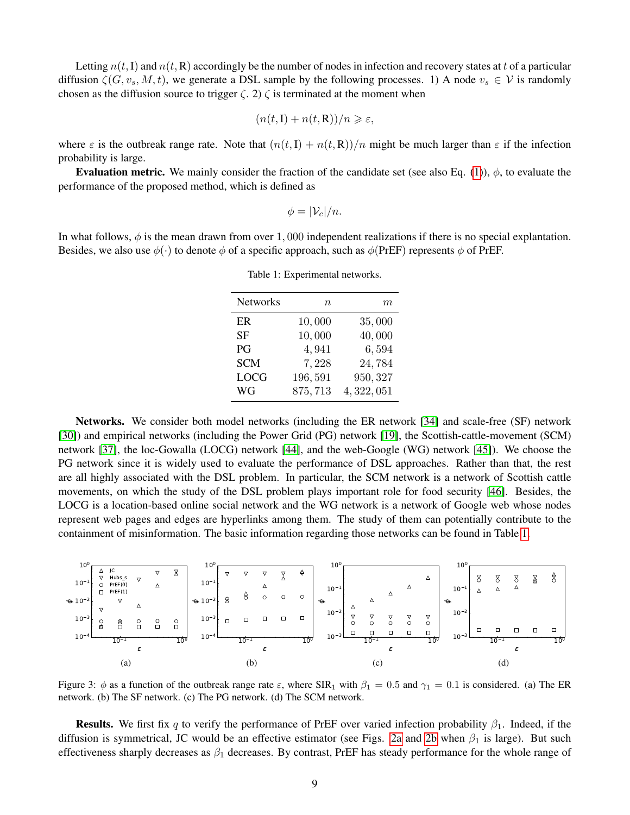Letting  $n(t, I)$  and  $n(t, R)$  accordingly be the number of nodes in infection and recovery states at t of a particular diffusion  $\zeta(G, v_s, M, t)$ , we generate a DSL sample by the following processes. 1) A node  $v_s \in V$  is randomly chosen as the diffusion source to trigger  $\zeta$ . 2)  $\zeta$  is terminated at the moment when

$$
(n(t,\mathbf{I}) + n(t,\mathbf{R}))/n \geqslant \varepsilon,
$$

where  $\varepsilon$  is the outbreak range rate. Note that  $(n(t, I) + n(t, R))/n$  might be much larger than  $\varepsilon$  if the infection probability is large.

**Evaluation metric.** We mainly consider the fraction of the candidate set (see also Eq. [\(1\)](#page-3-0)),  $\phi$ , to evaluate the performance of the proposed method, which is defined as

$$
\phi=|\mathcal{V}_c|/n.
$$

<span id="page-8-0"></span>In what follows,  $\phi$  is the mean drawn from over 1,000 independent realizations if there is no special explantation. Besides, we also use  $\phi(\cdot)$  to denote  $\phi$  of a specific approach, such as  $\phi$ (PrEF) represents  $\phi$  of PrEF.

| <b>Networks</b> | $n\,$   | m           |
|-----------------|---------|-------------|
| ER.             | 10,000  | 35,000      |
| SF              | 10,000  | 40,000      |
| P <sub>G</sub>  | 4,941   | 6,594       |
| <b>SCM</b>      | 7,228   | 24,784      |
| <b>LOCG</b>     | 196,591 | 950, 327    |
| WG              | 875,713 | 4, 322, 051 |

Table 1: Experimental networks.

Networks. We consider both model networks (including the ER network [\[34\]](#page-12-4) and scale-free (SF) network [\[30\]](#page-12-0)) and empirical networks (including the Power Grid (PG) network [\[19\]](#page-11-8), the Scottish-cattle-movement (SCM) network [\[37\]](#page-12-7), the loc-Gowalla (LOCG) network [\[44\]](#page-12-14), and the web-Google (WG) network [\[45\]](#page-12-15)). We choose the PG network since it is widely used to evaluate the performance of DSL approaches. Rather than that, the rest are all highly associated with the DSL problem. In particular, the SCM network is a network of Scottish cattle movements, on which the study of the DSL problem plays important role for food security [\[46\]](#page-12-16). Besides, the LOCG is a location-based online social network and the WG network is a network of Google web whose nodes represent web pages and edges are hyperlinks among them. The study of them can potentially contribute to the containment of misinformation. The basic information regarding those networks can be found in Table [1.](#page-8-0)

<span id="page-8-3"></span>

<span id="page-8-2"></span><span id="page-8-1"></span>Figure 3:  $\phi$  as a function of the outbreak range rate  $\varepsilon$ , where SIR<sub>1</sub> with  $\beta_1 = 0.5$  and  $\gamma_1 = 0.1$  is considered. (a) The ER network. (b) The SF network. (c) The PG network. (d) The SCM network.

**Results.** We first fix q to verify the performance of PrEF over varied infection probability  $\beta_1$ . Indeed, if the diffusion is symmetrical, JC would be an effective estimator (see Figs. [2a](#page-7-0) and [2b](#page-7-1) when  $\beta_1$  is large). But such effectiveness sharply decreases as  $\beta_1$  decreases. By contrast, PrEF has steady performance for the whole range of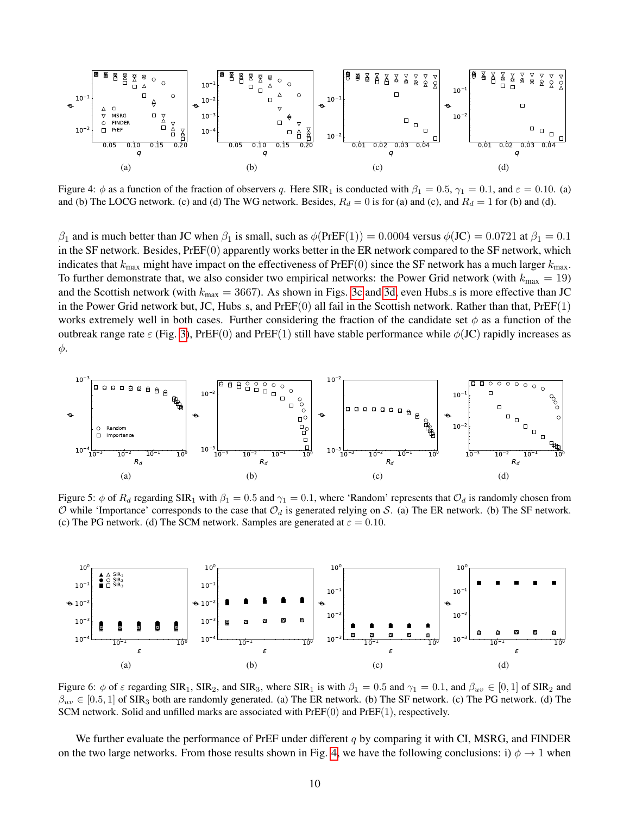<span id="page-9-0"></span>

Figure 4:  $\phi$  as a function of the fraction of observers q. Here SIR<sub>1</sub> is conducted with  $\beta_1 = 0.5$ ,  $\gamma_1 = 0.1$ , and  $\varepsilon = 0.10$ . (a) and (b) The LOCG network. (c) and (d) The WG network. Besides,  $R_d = 0$  is for (a) and (c), and  $R_d = 1$  for (b) and (d).

 $\beta_1$  and is much better than JC when  $\beta_1$  is small, such as  $\phi(\text{PrEF}(1)) = 0.0004$  versus  $\phi(\text{JC}) = 0.0721$  at  $\beta_1 = 0.1$ in the SF network. Besides, PrEF(0) apparently works better in the ER network compared to the SF network, which indicates that  $k_{\text{max}}$  might have impact on the effectiveness of PrEF(0) since the SF network has a much larger  $k_{\text{max}}$ . To further demonstrate that, we also consider two empirical networks: the Power Grid network (with  $k_{\text{max}} = 19$ ) and the Scottish network (with  $k_{\text{max}} = 3667$ ). As shown in Figs. [3c](#page-8-1) and [3d,](#page-8-2) even Hubs s is more effective than JC in the Power Grid network but, JC, Hubs  $s$ , and PrEF $(0)$  all fail in the Scottish network. Rather than that, PrEF $(1)$ works extremely well in both cases. Further considering the fraction of the candidate set  $\phi$  as a function of the outbreak range rate  $\varepsilon$  (Fig. [3\)](#page-8-3), PrEF(0) and PrEF(1) still have stable performance while  $\phi$ (JC) rapidly increases as φ.

<span id="page-9-1"></span>

Figure 5:  $\phi$  of  $R_d$  regarding SIR<sub>1</sub> with  $\beta_1 = 0.5$  and  $\gamma_1 = 0.1$ , where 'Random' represents that  $\mathcal{O}_d$  is randomly chosen from  $\mathcal O$  while 'Importance' corresponds to the case that  $\mathcal O_d$  is generated relying on S. (a) The ER network. (b) The SF network. (c) The PG network. (d) The SCM network. Samples are generated at  $\varepsilon = 0.10$ .

<span id="page-9-2"></span>

Figure 6:  $\phi$  of  $\varepsilon$  regarding SIR<sub>1</sub>, SIR<sub>2</sub>, and SIR<sub>3</sub>, where SIR<sub>1</sub> is with  $\beta_1 = 0.5$  and  $\gamma_1 = 0.1$ , and  $\beta_{uv} \in [0,1]$  of SIR<sub>2</sub> and  $\beta_{uv} \in [0.5, 1]$  of SIR<sub>3</sub> both are randomly generated. (a) The ER network. (b) The SF network. (c) The PG network. (d) The SCM network. Solid and unfilled marks are associated with  $PrEF(0)$  and  $PrEF(1)$ , respectively.

We further evaluate the performance of PrEF under different  $q$  by comparing it with CI, MSRG, and FINDER on the two large networks. From those results shown in Fig. [4,](#page-9-0) we have the following conclusions: i)  $\phi \to 1$  when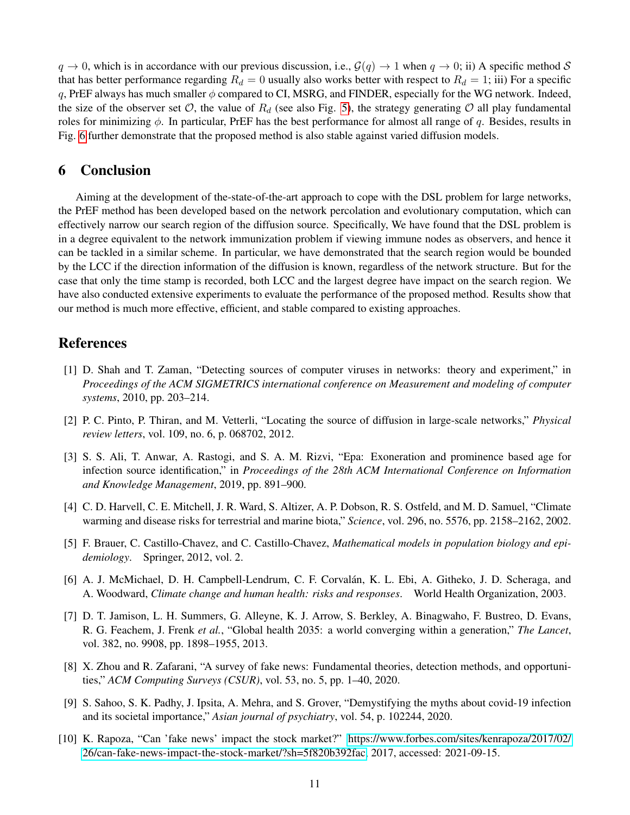$q \to 0$ , which is in accordance with our previous discussion, i.e.,  $\mathcal{G}(q) \to 1$  when  $q \to 0$ ; ii) A specific method S that has better performance regarding  $R_d = 0$  usually also works better with respect to  $R_d = 1$ ; iii) For a specific q, PrEF always has much smaller  $\phi$  compared to CI, MSRG, and FINDER, especially for the WG network. Indeed, the size of the observer set  $\mathcal{O}$ , the value of  $R_d$  (see also Fig. [5\)](#page-9-1), the strategy generating  $\mathcal O$  all play fundamental roles for minimizing  $\phi$ . In particular, PrEF has the best performance for almost all range of q. Besides, results in Fig. [6](#page-9-2) further demonstrate that the proposed method is also stable against varied diffusion models.

# 6 Conclusion

Aiming at the development of the-state-of-the-art approach to cope with the DSL problem for large networks, the PrEF method has been developed based on the network percolation and evolutionary computation, which can effectively narrow our search region of the diffusion source. Specifically, We have found that the DSL problem is in a degree equivalent to the network immunization problem if viewing immune nodes as observers, and hence it can be tackled in a similar scheme. In particular, we have demonstrated that the search region would be bounded by the LCC if the direction information of the diffusion is known, regardless of the network structure. But for the case that only the time stamp is recorded, both LCC and the largest degree have impact on the search region. We have also conducted extensive experiments to evaluate the performance of the proposed method. Results show that our method is much more effective, efficient, and stable compared to existing approaches.

#### References

- <span id="page-10-0"></span>[1] D. Shah and T. Zaman, "Detecting sources of computer viruses in networks: theory and experiment," in *Proceedings of the ACM SIGMETRICS international conference on Measurement and modeling of computer systems*, 2010, pp. 203–214.
- <span id="page-10-1"></span>[2] P. C. Pinto, P. Thiran, and M. Vetterli, "Locating the source of diffusion in large-scale networks," *Physical review letters*, vol. 109, no. 6, p. 068702, 2012.
- <span id="page-10-2"></span>[3] S. S. Ali, T. Anwar, A. Rastogi, and S. A. M. Rizvi, "Epa: Exoneration and prominence based age for infection source identification," in *Proceedings of the 28th ACM International Conference on Information and Knowledge Management*, 2019, pp. 891–900.
- <span id="page-10-3"></span>[4] C. D. Harvell, C. E. Mitchell, J. R. Ward, S. Altizer, A. P. Dobson, R. S. Ostfeld, and M. D. Samuel, "Climate warming and disease risks for terrestrial and marine biota," *Science*, vol. 296, no. 5576, pp. 2158–2162, 2002.
- <span id="page-10-4"></span>[5] F. Brauer, C. Castillo-Chavez, and C. Castillo-Chavez, *Mathematical models in population biology and epidemiology*. Springer, 2012, vol. 2.
- <span id="page-10-5"></span>[6] A. J. McMichael, D. H. Campbell-Lendrum, C. F. Corvalán, K. L. Ebi, A. Githeko, J. D. Scheraga, and A. Woodward, *Climate change and human health: risks and responses*. World Health Organization, 2003.
- <span id="page-10-6"></span>[7] D. T. Jamison, L. H. Summers, G. Alleyne, K. J. Arrow, S. Berkley, A. Binagwaho, F. Bustreo, D. Evans, R. G. Feachem, J. Frenk *et al.*, "Global health 2035: a world converging within a generation," *The Lancet*, vol. 382, no. 9908, pp. 1898–1955, 2013.
- <span id="page-10-7"></span>[8] X. Zhou and R. Zafarani, "A survey of fake news: Fundamental theories, detection methods, and opportunities," *ACM Computing Surveys (CSUR)*, vol. 53, no. 5, pp. 1–40, 2020.
- <span id="page-10-8"></span>[9] S. Sahoo, S. K. Padhy, J. Ipsita, A. Mehra, and S. Grover, "Demystifying the myths about covid-19 infection and its societal importance," *Asian journal of psychiatry*, vol. 54, p. 102244, 2020.
- <span id="page-10-9"></span>[10] K. Rapoza, "Can 'fake news' impact the stock market?" [https://www.forbes.com/sites/kenrapoza/2017/02/](https://www.forbes.com/sites/kenrapoza/2017/02/26/can-fake-news-impact-the-stock-market/?sh=5f820b392fac) [26/can-fake-news-impact-the-stock-market/?sh=5f820b392fac,](https://www.forbes.com/sites/kenrapoza/2017/02/26/can-fake-news-impact-the-stock-market/?sh=5f820b392fac) 2017, accessed: 2021-09-15.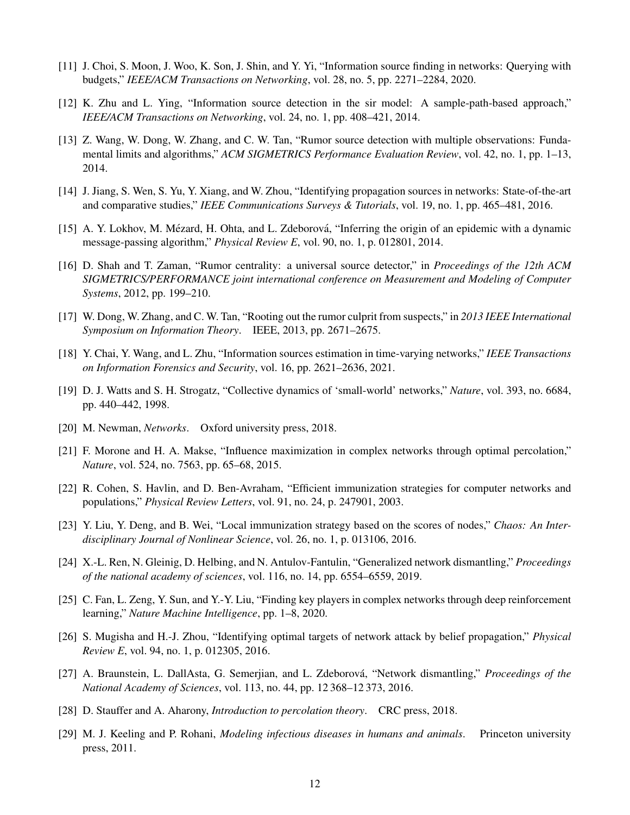- <span id="page-11-0"></span>[11] J. Choi, S. Moon, J. Woo, K. Son, J. Shin, and Y. Yi, "Information source finding in networks: Querying with budgets," *IEEE/ACM Transactions on Networking*, vol. 28, no. 5, pp. 2271–2284, 2020.
- <span id="page-11-1"></span>[12] K. Zhu and L. Ying, "Information source detection in the sir model: A sample-path-based approach," *IEEE/ACM Transactions on Networking*, vol. 24, no. 1, pp. 408–421, 2014.
- <span id="page-11-2"></span>[13] Z. Wang, W. Dong, W. Zhang, and C. W. Tan, "Rumor source detection with multiple observations: Fundamental limits and algorithms," *ACM SIGMETRICS Performance Evaluation Review*, vol. 42, no. 1, pp. 1–13, 2014.
- <span id="page-11-3"></span>[14] J. Jiang, S. Wen, S. Yu, Y. Xiang, and W. Zhou, "Identifying propagation sources in networks: State-of-the-art and comparative studies," *IEEE Communications Surveys & Tutorials*, vol. 19, no. 1, pp. 465–481, 2016.
- <span id="page-11-4"></span>[15] A. Y. Lokhov, M. Mézard, H. Ohta, and L. Zdeborová, "Inferring the origin of an epidemic with a dynamic message-passing algorithm," *Physical Review E*, vol. 90, no. 1, p. 012801, 2014.
- <span id="page-11-5"></span>[16] D. Shah and T. Zaman, "Rumor centrality: a universal source detector," in *Proceedings of the 12th ACM SIGMETRICS/PERFORMANCE joint international conference on Measurement and Modeling of Computer Systems*, 2012, pp. 199–210.
- <span id="page-11-6"></span>[17] W. Dong, W. Zhang, and C. W. Tan, "Rooting out the rumor culprit from suspects," in *2013 IEEE International Symposium on Information Theory*. IEEE, 2013, pp. 2671–2675.
- <span id="page-11-7"></span>[18] Y. Chai, Y. Wang, and L. Zhu, "Information sources estimation in time-varying networks," *IEEE Transactions on Information Forensics and Security*, vol. 16, pp. 2621–2636, 2021.
- <span id="page-11-8"></span>[19] D. J. Watts and S. H. Strogatz, "Collective dynamics of 'small-world' networks," *Nature*, vol. 393, no. 6684, pp. 440–442, 1998.
- <span id="page-11-9"></span>[20] M. Newman, *Networks*. Oxford university press, 2018.
- <span id="page-11-10"></span>[21] F. Morone and H. A. Makse, "Influence maximization in complex networks through optimal percolation," *Nature*, vol. 524, no. 7563, pp. 65–68, 2015.
- <span id="page-11-11"></span>[22] R. Cohen, S. Havlin, and D. Ben-Avraham, "Efficient immunization strategies for computer networks and populations," *Physical Review Letters*, vol. 91, no. 24, p. 247901, 2003.
- <span id="page-11-12"></span>[23] Y. Liu, Y. Deng, and B. Wei, "Local immunization strategy based on the scores of nodes," *Chaos: An Interdisciplinary Journal of Nonlinear Science*, vol. 26, no. 1, p. 013106, 2016.
- <span id="page-11-13"></span>[24] X.-L. Ren, N. Gleinig, D. Helbing, and N. Antulov-Fantulin, "Generalized network dismantling," *Proceedings of the national academy of sciences*, vol. 116, no. 14, pp. 6554–6559, 2019.
- <span id="page-11-14"></span>[25] C. Fan, L. Zeng, Y. Sun, and Y.-Y. Liu, "Finding key players in complex networks through deep reinforcement learning," *Nature Machine Intelligence*, pp. 1–8, 2020.
- <span id="page-11-15"></span>[26] S. Mugisha and H.-J. Zhou, "Identifying optimal targets of network attack by belief propagation," *Physical Review E*, vol. 94, no. 1, p. 012305, 2016.
- <span id="page-11-16"></span>[27] A. Braunstein, L. DallAsta, G. Semerjian, and L. Zdeborová, "Network dismantling," Proceedings of the *National Academy of Sciences*, vol. 113, no. 44, pp. 12 368–12 373, 2016.
- <span id="page-11-17"></span>[28] D. Stauffer and A. Aharony, *Introduction to percolation theory*. CRC press, 2018.
- <span id="page-11-18"></span>[29] M. J. Keeling and P. Rohani, *Modeling infectious diseases in humans and animals*. Princeton university press, 2011.